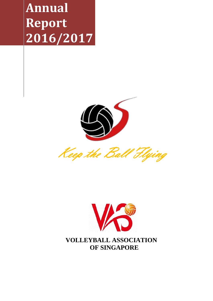**Annual Report 2016/2017**





 **OF SINGAPORE**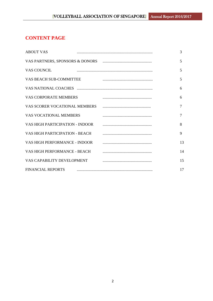# **CONTENT PAGE**

| <b>ABOUT VAS</b>                | 3  |
|---------------------------------|----|
|                                 | 5  |
| <b>VAS COUNCIL</b>              | 5  |
| VAS BEACH SUB-COMMITTEE         | 5  |
|                                 | 6  |
| <b>VAS CORPORATE MEMBERS</b>    | 6  |
| VAS SCORER VOCATIONAL MEMBERS   | 7  |
| <b>VAS VOCATIONAL MEMBERS</b>   | 7  |
| VAS HIGH PARTICIPATION - INDOOR | 8  |
| VAS HIGH PARTICIPATION - BEACH  | 9  |
| VAS HIGH PERFORMANCE - INDOOR   | 13 |
| VAS HIGH PERFORMANCE - BEACH    | 14 |
| VAS CAPABILITY DEVELOPMENT      | 15 |
| <b>FINANCIAL REPORTS</b>        | 17 |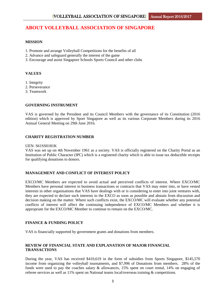## **ABOUT VOLLEYBALL ASSOCIATION OF SINGAPORE**

### **MISSION**

- 1. Promote and arrange Volleyball Competitions for the benefits of all
- 2. Advance and safeguard generally the interest of the game
- 3. Encourage and assist Singapore Schools Sports Council and other clubs

## **VALUES**

- 1. Integrity
- 2. Perseverance
- 3. Teamwork

## **GOVERNING INSTRUMENT**

VAS is governed by the President and its Council Members with the governance of its Constitution (2016 edition) which is approved by Sport Singapore as well as its various Corporate Members during its 2016 Annual General Meeting on 29th June 2016.

## **CHARITY REGISTRATION NUMBER**

#### UEN: S61SS0181K

VAS was set up on 4th November 1961 as a society. VAS is officially registered on the Charity Portal as an Institution of Public Character (IPC) which is a registered charity which is able to issue tax deductible receipts for qualifying donations to donors.

#### **MANAGEMENT AND CONFLICT OF INTEREST POLICY**

EXCO/MC Members are expected to avoid actual and perceived conflicts of interest. Where EXCO/MC Members have personal interest in business transactions or contracts that VAS may enter into, or have vested interests in other organisations that VAS have dealings with or is considering to enter into joint ventures with, they are expected to declare such interests to the EXCO as soon as possible and abstain from discussion and decision making on the matter. Where such conflicts exist, the EXCO/MC will evaluate whether any potential conflicts of interest will affect the continuing independence of EXCO/MC Members and whether it is appropriate for the EXCO/MC Member to continue to remain on the EXCO/MC.

## **FINANCE & FUNDING POLICY**

VAS is financially supported by government grants and donations from members.

#### **REVIEW OF FINANCIAL STATE AND EXPLANATION OF MAJOR FINANCIAL TRANSACTIONS**

During the year, VAS has received \$410,619 in the form of subsidies from Sports Singapore, \$145,570 income from organizing the volleyball tournaments, and \$7,996 of Donations from members. 28% of the funds were used to pay the coaches salary & allowances, 15% spent on court rental, 14% on engaging of referee services as well as 11% spent on National teams local/overseas training & competitions.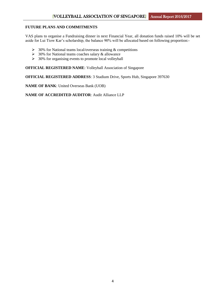#### **FUTURE PLANS AND COMMITMENTS**

VAS plans to organise a Fundraising dinner in next Financial Year, all donation funds raised 10% will be set aside for Lui Tiow Kar's scholarship, the balance 90% will be allocated based on following proportion:-

- $\geq 30\%$  for National teams local/overseas training & competitions
- $\geq$  30% for National teams coaches salary & allowance
- $\geq 30\%$  for organising events to promote local volleyball

**OFFICIAL REGISTERED NAME**: Volleyball Association of Singapore

**OFFICIAL REGISTERED ADDRESS**: 3 Stadium Drive, Sports Hub, Singapore 397630

**NAME OF BANK**: United Overseas Bank (UOB)

**NAME OF ACCREDITED AUDITOR**: Audit Alliance LLP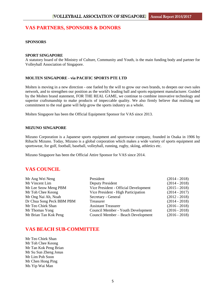## **VAS PARTNERS, SPONSORS & DONORS**

#### **SPONSORS**

#### **SPORT SINGAPORE**

A statutory board of the Ministry of Culture, Community and Youth, is the main funding body and partner for Volleyball Association of Singapore.

#### **MOLTEN SINGAPORE - via PACIFIC SPORTS PTE LTD**

Molten is moving in a new direction - one fueled by the will to grow our own brands, to deepen our own sales network, and to strengthen our position as the world's leading ball and sports equipment manufacturer. Guided by the Molten brand statement, FOR THE REAL GAME, we continue to combine innovative technology and superior craftsmanship to make products of impeccable quality. We also firmly believe that realising our commitment to the real game will help grow the sports industry as a whole.

Molten Singapore has been the Official Equipment Sponsor for VAS since 2013.

#### **MIZUNO SINGAPORE**

Mizuno Corporation is a Japanese sports equipment and sportswear company, founded in Osaka in 1906 by Rihachi Mizuno. Today, Mizuno is a global corporation which makes a wide variety of sports equipment and sportswear, for golf, football, baseball, volleyball, running, rugby, skiing, athletics etc.

Mizuno Singapore has been the Official Attire Sponsor for VAS since 2014.

## **VAS COUNCIL**

| President                             | $(2014 - 2018)$ |
|---------------------------------------|-----------------|
| Deputy President                      | $(2014 - 2018)$ |
| Vice President - Official Development | $(2015 - 2018)$ |
| Vice President - High Participation   | $(2014 - 2017)$ |
| Secretary - General                   | $(2012 - 2018)$ |
| Treasurer                             | $(2014 - 2018)$ |
| <b>Assistant Treasurer</b>            | $(2016 - 2018)$ |
| Council Member - Youth Development    | $(2016 - 2018)$ |
| Council Member – Beach Development    | $(2016 - 2018)$ |
|                                       |                 |

## **VAS BEACH SUB-COMMITTEE**

Mr Teo Chiek Shan Mr Toh Chee Keong Mr Tan Kok Peng Brian Mr Su Sun Zheng Jonas Mr Lim Poh Soon Mr Chen Hong Ping Ms Yip Wai Man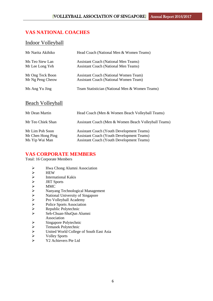# **VAS NATIONAL COACHES**

## Indoor Volleyball

| Mr Narita Akihiko | Head Coach (National Men & Women Teams)        |
|-------------------|------------------------------------------------|
| Ms Teo Siew Lan   | <b>Assistant Coach (National Men Teams)</b>    |
| Mr Lee Long Yeh   | <b>Assistant Coach (National Men Teams)</b>    |
| Mr Ong Teck Boon  | <b>Assistant Coach (National Women Team)</b>   |
| Mr Ng Peng Cheow  | <b>Assistant Coach (National Women Team)</b>   |
| Ms Ang Yu Jing    | Team Statistician (National Men & Women Teams) |

# Beach Volleyball

| Mr Dean Martin                                         | Head Coach (Men & Women Beach Volleyball Teams)                                                                                                          |
|--------------------------------------------------------|----------------------------------------------------------------------------------------------------------------------------------------------------------|
| Mr Teo Chiek Shan                                      | Assistant Coach (Men & Women Beach Volleyball Teams)                                                                                                     |
| Mr Lim Poh Soon<br>Mr Chen Hong Ping<br>Ms Yip Wai Man | <b>Assistant Coach (Youth Development Teams)</b><br><b>Assistant Coach (Youth Development Teams)</b><br><b>Assistant Coach (Youth Development Teams)</b> |

## **VAS CORPORATE MEMBERS**

Total: 16 Corporate Members

- 
- **HEW**
- International Kakis
- JRT Sports
- MMC
- Nanyang Technological Management
- → Hwa Chong Alumni Association<br>
→ HEW<br>
→ International Kakis<br>
→ IRT Sports<br>
→ MMC<br>
→ Nanyang Technological Manager<br>
→ National University of Singapore<br>
→ Pro Volleyball Academy<br>
→ Police Sports Association<br>
→ Republic Pol National University of Singapore
- Pro Volleyball Academy
- Police Sports Association
- Republic Polytechnic
- Seh-Chuan-ShuQun Alumni Association
- 
- Temasek Polytechnic
- → Singapore Polytechnic<br>
→ Temasek Polytechnic<br>
→ United World College<br>
→ Volley Sports<br>
→ Y2 Achievers Pte Ltd United World College of South East Asia
- Volley Sports
- Y2 Achievers Pte Ltd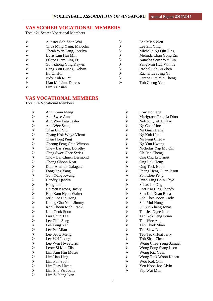# **VAS SCORER VOCATIONAL MEMBERS**

Total: 21 Scorer Vocational Members

| ➤                     | Allaster Soh Zhan Wai   |   | Lee Miao Wen          |
|-----------------------|-------------------------|---|-----------------------|
| $\blacktriangleright$ | Chua Ming Yang, Malcolm |   | Lee Zhi Ying          |
| ↘                     | Cheah Wan Fang, Jacelyn |   | Michelle Ng Qiu Ting  |
| $\blacktriangleright$ | Doris Lim Hui Min       | ⋗ | Melinda Chan Yong Ern |
| $\blacktriangleright$ | Erlene Liam Ling Er     |   | Natasha Seow Wei Lin  |
| $\blacktriangleright$ | Goh Zhong Ying Kayvis   |   | Pang Min Hui, Winnie  |
| $\blacktriangleright$ | Heng You Guang, Kelvin  | ⋗ | Rachel Poh Lu Zhen    |
| $\blacktriangleright$ | Ho Qi Hui               | ⋗ | Rachel Lee Jing Yi    |
| $\blacktriangleright$ | Judy Koh Ru Yi          |   | Serene Lim Yin Cheng  |
| ➤                     | Liau Mei Jun, Dorcas    | ↘ | Toh Cheng Yee         |

Lim Yi Xuan

# **VAS VOCATIONAL MEMBERS**

Total: 74 Vocational Members

| $\blacktriangleright$ | Ang Kwan Meng               | $\blacktriangleright$      | Low Ho Peng            |
|-----------------------|-----------------------------|----------------------------|------------------------|
| $\blacktriangleright$ | Ang Swee Aun                | $\blacktriangleright$      | Marigrace Orencia Dino |
|                       | Ang Wee Ling Jesley         | $\blacktriangleright$      | Nelson Quek Li Hao     |
| $\blacktriangleright$ | Ang Wee Seng                | $\blacktriangleright$      | Ng Chee Hoe            |
| $\blacktriangleright$ | Chan Chi Yiu                |                            | Ng Guan Heng           |
|                       | Chang Kok Whye Victor       |                            | Ng Kok Hua             |
|                       | Chen Hong Ping              |                            | Ng Peng Cheow          |
|                       | Cheong Peng Chin Winson     |                            | Ng Yun Kwang           |
|                       | Chew Lai Yien, Dorothy      |                            | Nicholas Yap Mu Qin    |
|                       | <b>Chng Swee Chee Swiss</b> |                            | Oh Jian Cheng          |
|                       | Chow Lai Chuen Desmond      |                            | Ong Chu Li Ernest      |
|                       | Chong Choon Keat            |                            | Ong Lok Heng           |
|                       | Dino Arnaldo Galagate       |                            | Ong Teck Boon          |
|                       | Fong Jing Yang              |                            | Phang Heng Guan Jason  |
|                       | Goh Yong Kwang              |                            | Poh Chee Peng          |
| メプスプレンタンプンプンプンプン      | Hendry Tjandra              |                            | Ryan Ling Chin Chye    |
|                       | Heng Lihan                  |                            | Sebastian Ong          |
|                       | Ho Yen Kwong, Jacky         |                            | Seet Kai Bing Shandy   |
|                       | Hoe Kam Nyun Walter         |                            | Sim Kai Xuan Rena      |
|                       | Jeric Lee Lip Hong          |                            | Soh Chee Boon Andy     |
|                       | Kheng Chu Yian Jimmy        |                            | Soh Mui Hong           |
|                       | Koh Choon Moh Frank         |                            | Su Sun Zheng Jonas     |
|                       | Koh Geok Soon               |                            | Tan Jee Ngee John      |
|                       | Lau Chun Tee                |                            | Tan Kok Peng Brian     |
|                       | Lee Chin Seng               |                            | Tan Wee Ang            |
| $\lambda$ $\lambda$   | Lee Long Yeh                |                            | Teo Chiek Shan         |
|                       | Lee Pei Mian                |                            | Teo Siew Lan           |
| $\blacktriangleright$ | Lee Seow Meng               |                            | Teo Teck Huat Jerry    |
| $\blacktriangleright$ | Lee Wei Leong               |                            | Toh Shan Zhen          |
| $\blacktriangleright$ | Lee Wen Hwee Eric           |                            | Wong Chee Yong Samuel  |
| $\blacktriangleright$ | Leow Si Min Elise           |                            | Wong Fong Siang Leon   |
| $\blacktriangleright$ | Lim Ann Hin Moses           |                            | Wong Kia Yuan          |
| $\blacktriangleright$ | Lim Han Ling                |                            | Wong Tick Woon Kenett  |
| $\blacktriangleright$ | Lim Poh Soon                | ひんひんひんひんひんひんひんひんひんしんしんひんしん | Woo Kok Onn            |
| $\blacktriangleright$ | Lim Puay Hwee               |                            | Yeo Koon Joo Alvin     |
| $\blacktriangleright$ | Lim Shu Yu Joelle           | $\blacktriangleright$      | Yip Wai Mun            |
| $\blacktriangleright$ | Lim Zi Yang Ivan            |                            |                        |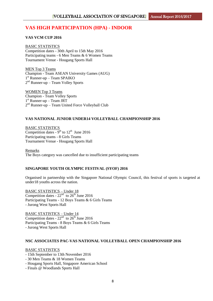# **VAS HIGH PARTICIPATION (HPA) - INDOOR**

### **VAS VCM CUP 2016**

BASIC STATISTICS Competition dates - 30th April to 15th May 2016 Participating teams - 6 Men Teams & 6 Women Teams Tournament Venue - Hougang Sports Hall

MEN Top 3 Teams Champion - Team ASEAN University Games (AUG) 1 st Runner-up – Team SPAIKO 2<sup>nd</sup> Runner-up – Team Volley Sports

WOMEN Top 3 Teams Champion - Team Volley Sports 1 st Runner-up – Team JRT 2<sup>nd</sup> Runner-up – Team United Force Volleyball Club

## **VAS NATIONAL JUNIOR UNDER14 VOLLEYBALL CHAMPIONSHIP 2016**

BASIC STATISTICS Competition dates -  $9<sup>th</sup>$  to  $12<sup>th</sup>$  June 2016 Participating teams - 8 Girls Teams Tournament Venue - Hougang Sports Hall

Remarks The Boys category was cancelled due to insufficient participating teams

## **SINGAPORE YOUTH OLYMPIC FESTIVAL (SYOF) 2016**

Organised in partnership with the Singapore National Olympic Council, this festival of sports is targeted at under18 youths across the nation.

BASIC STATISTICS – Under 18 Competition dates -  $22<sup>nd</sup>$  to  $26<sup>th</sup>$  June 2016 Participating Teams - 12 Boys Teams & 6 Girls Teams - Jurong West Sports Hall

BASIC STATISTICS – Under 14 Competition dates -  $22<sup>nd</sup>$  to  $26<sup>th</sup>$  June 2016 Participating Teams - 8 Boys Teams & 6 Girls Teams - Jurong West Sports Hall

#### **NSC ASSOCIATES PAC-VAS NATIONAL VOLLEYBALL OPEN CHAMPIONSHIP 2016**

#### BASIC STATISTICS

- 15th September to 13th November 2016
- 30 Men Teams & 18 Women Teams
- Hougang Sports Hall, Singapore American School
- Finals @ Woodlands Sports Hall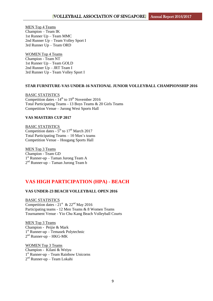MEN Top 4 Teams Champion – Team IK 1st Runner Up – Team MMC 2nd Runner Up – Team Volley Sport I 3rd Runner Up – Team ORD

WOMEN Top 4 Teams Champion - Team NT 1st Runner Up – Team GOLD 2nd Runner Up – JRT Team I 3rd Runner Up - Team Volley Sport I

## **STAR FURNITURE-VAS UNDER-16 NATIONAL JUNIOR VOLLEYBALL CHAMPIONSHIP 2016**

BASIC STATISTICS Competition dates -  $14^{th}$  to  $19^{th}$  November 2016 Total Participating Teams - 13 Boys Teams & 20 Girls Teams Competition Venue – Jurong West Sports Hall

#### **VAS MASTERS CUP 2017**

BASIC STATISTICS Competition dates -  $5<sup>th</sup>$  to  $17<sup>th</sup>$  March 2017 Total Participating Teams – 10 Men's teams Competition Venue – Hougang Sports Hall

MEN Top 3 Teams Champion - Team GD 1 st Runner-up – Taman Jurong Team A 2 nd Runner-up – Taman Jurong Team b

# **VAS HIGH PARTICIPATION (HPA) - BEACH**

## **VAS UNDER-23 BEACH VOLLEYBALL OPEN 2016**

BASIC STATISTICS Competition dates -  $21<sup>st</sup>$  &  $22<sup>nd</sup>$  May 2016 Participating teams - 12 Men Teams & 8 Women Teams Tournament Venue - Yio Chu Kang Beach Volleyball Courts

MEN Top 3 Teams Champion - Peijie & Mark 1 st Runner-up – Temasek Polytechnic  $2<sup>nd</sup>$  Runner-up – HKG-MK

WOMEN Top 3 Teams Champion - Kilani & Weiyu 1 st Runner-up – Team Rainbow Unicorns 2 nd Runner-up – Team Lokahi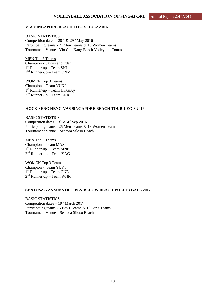#### **VAS SINGAPORE BEACH TOUR-LEG-2 2 016**

BASIC STATISTICS Competition dates  $-28^{th}$  &  $29^{th}$  May 2016 Participating teams - 21 Men Teams & 19 Women Teams Tournament Venue - Yio Chu Kang Beach Volleyball Courts

MEN Top 3 Teams Champion - Jayvis and Eden 1 st Runner-up – Team SNL 2<sup>nd</sup> Runner-up – Team DNM

WOMEN Top 3 Teams Champion - Team YUKI 1 st Runner-up – Team HKGiAy  $2<sup>nd</sup>$  Runner-up – Team ENR

#### **HOCK SENG HENG-VAS SINGAPORE BEACH TOUR-LEG-3 2016**

BASIC STATISTICS Competition dates  $-3^{\text{rd}}$  & 4<sup>th</sup> Sep 2016 Participating teams - 25 Men Teams & 18 Women Teams Tournament Venue – Sentosa Siloso Beach

MEN Top 3 Teams Champion - Team MAS 1 st Runner-up – Team MNP 2<sup>nd</sup> Runner-up – Team YAG

WOMEN Top 3 Teams Champion - Team YUKI 1 st Runner-up – Team GNE 2<sup>nd</sup> Runner-up – Team WNR

#### **SENTOSA-VAS SUNS OUT 19 & BELOW BEACH VOLLEYBALL 2017**

BASIC STATISTICS Competition dates  $-19^{th}$  March 2017 Participating teams - 5 Boys Teams & 10 Girls Teams Tournament Venue – Sentosa Siloso Beach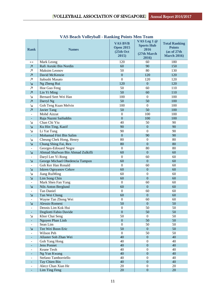| <b>Rank</b>              | <b>Names</b>                     | <b>VAS BVB</b><br><b>Open 2015</b><br>(25th Oct<br>2015) | VAS Leg 1 @<br><b>Sports Hub</b><br>2016<br>(27th March<br>2016) | <b>Total Ranking</b><br><b>Points</b><br>(as of 27th<br><b>March 2016)</b> |
|--------------------------|----------------------------------|----------------------------------------------------------|------------------------------------------------------------------|----------------------------------------------------------------------------|
| $\leftrightarrow$        | Mark Leong                       | 120                                                      | 60                                                               | 180                                                                        |
| $\overline{\mathcal{A}}$ | Rafi Asruki Bin Nordin           | 60                                                       | 90                                                               | 150                                                                        |
| Ζ                        | Maksim Leonov                    | 50                                                       | 80                                                               | 130                                                                        |
| $\overline{\mathcal{A}}$ | David McKenzie                   | $\boldsymbol{0}$                                         | 120                                                              | 120                                                                        |
| Ζ                        | Itabushi Masato                  | $\boldsymbol{0}$                                         | 120                                                              | 120                                                                        |
| $\overline{\Delta}$      | Ng Zheng Rui                     | 120                                                      | $\overline{0}$                                                   | 120                                                                        |
| $\overline{\mathcal{A}}$ | Hoe Guo Feng                     | 50                                                       | 60                                                               | 110                                                                        |
| $\overline{\mathcal{A}}$ | Lin Yi Ming                      | 50                                                       | 60                                                               | 110                                                                        |
| Ν                        | Bernard Seet Wei Han             | 100                                                      | $\mathbf{0}$                                                     | 100                                                                        |
| $\overline{\mathcal{A}}$ | Darryl Ng                        | 50                                                       | 50                                                               | 100                                                                        |
| Ν                        | Goh Teng Kuan Melvin             | 100                                                      | $\mathbf{0}$                                                     | 100                                                                        |
| $\overline{\mathcal{A}}$ | Javier Tang                      | 50                                                       | 50                                                               | 100                                                                        |
| $\overline{\phantom{a}}$ | Mohd Aizzat                      | $\boldsymbol{0}$                                         | 100                                                              | 100                                                                        |
|                          | Raja Nazmi Saifuddin             | $\overline{0}$                                           | 100                                                              | 100                                                                        |
| Ν                        | Chan Chi Yiu                     | 40                                                       | 50                                                               | 90                                                                         |
| $\overline{\Delta}$      | Ku Hin Ting, Kazif               | 90                                                       | $\mathbf{0}$                                                     | 90                                                                         |
| N                        | Li Yat Tung                      | 90                                                       | $\mathbf{0}$                                                     | 90                                                                         |
| $\equiv$                 | Mohamad Fitri Bin Salim          | $\mathbf{0}$                                             | 90                                                               | 90                                                                         |
| Ν                        | Cheung Chek Hong, Henry          | 80                                                       | $\mathbf{0}$                                                     | 80                                                                         |
| $\overline{\Delta}$      | Chung Shing Fai, Rex             | 80                                                       | $\overline{0}$                                                   | 80                                                                         |
|                          | Georges-Edouard Negre            | $\mathbf{0}$                                             | 80                                                               | 80                                                                         |
| Ν                        | Ahmad Shafwan Bin Ahmad Zulkifli | 60                                                       | $\mathbf{0}$                                                     | 60                                                                         |
|                          | Daryl Lee Yi Rong                | $\mathbf{0}$                                             | 60                                                               | 60                                                                         |
| Ν                        | George Michael Obedencia Tampon  | 60                                                       | $\overline{0}$                                                   | 60                                                                         |
|                          | Goh Ker Han Ronald               | $\Omega$                                                 | 60                                                               | 60                                                                         |
| Ν                        | Iskren Ognyanov Cekov            | 60                                                       | $\mathbf{0}$                                                     | 60                                                                         |
| Δ                        | Jiang RuiMing                    | 60                                                       | $\boldsymbol{0}$                                                 | 60                                                                         |
| Ν                        | Lim Song Chin                    | 60                                                       | $\overline{0}$                                                   | 60                                                                         |
|                          | Mark Shen Fan Yang               | $\mathbf{0}$                                             | 60                                                               | 60                                                                         |
| $\overline{\mathsf{N}}$  | Nils Anton Berglund              | 60                                                       | $\overline{0}$                                                   | 60                                                                         |
|                          | <b>Tan Daniel</b>                | $\boldsymbol{0}$                                         | 60                                                               | 60                                                                         |
| $\overline{\Delta}$      | Tan Wei Chong                    | 60                                                       | $\overline{0}$                                                   | 60                                                                         |
|                          | Wayne Tan Zhong Wei              | $\boldsymbol{0}$                                         | 60                                                               | 60                                                                         |
| $\mathbf{N}$             | Alessio Romeni                   | 50                                                       | $\boldsymbol{0}$                                                 | 50                                                                         |
|                          | Dennis Lim Kok Hui               | $\boldsymbol{0}$                                         | 50                                                               | 50                                                                         |
| L.                       | Dogliotti Fabio Davide           | $\boldsymbol{0}$                                         | 50                                                               | 50                                                                         |
| N                        | Khor Chai Seng                   | 50                                                       | $\boldsymbol{0}$                                                 | 50                                                                         |
| ÷.                       | Nguyen Phan Linh                 | $\boldsymbol{0}$                                         | 50                                                               | 50                                                                         |
| $\overline{\phantom{a}}$ | Sean Lim                         | $\boldsymbol{0}$                                         | 50                                                               | 50                                                                         |
| $\overline{\mathsf{N}}$  | Tee Wei Boon Eric                | 50                                                       | $\boldsymbol{0}$                                                 | 50                                                                         |
|                          | Wilson Peh                       | $\mathbf{0}$                                             | 50                                                               | 50                                                                         |
|                          | Allaster Soh Zhan Wei            | 40                                                       | $\mathbf{0}$                                                     | 40                                                                         |
|                          | Goh Yang Hong                    | 40                                                       | $\boldsymbol{0}$                                                 | 40                                                                         |
|                          | <b>Jens Ponnet</b>               | 40                                                       | $\boldsymbol{0}$                                                 | 40                                                                         |
|                          | Keane Teoh                       | 40                                                       | $\boldsymbol{0}$                                                 | 40                                                                         |
|                          | Ng Yun Kwang                     | 40                                                       | $\boldsymbol{0}$                                                 | 40                                                                         |
| $\overline{\phantom{a}}$ | Stefano Tamborriello             | 40                                                       | $\boldsymbol{0}$                                                 | 40                                                                         |
| $\blacksquare$           | Tay Chien Bin                    | 40                                                       | $\boldsymbol{0}$                                                 | 40                                                                         |
|                          | Alecz Chan Xian He               | 20                                                       | $\boldsymbol{0}$                                                 | 20                                                                         |
|                          | Lim Ting Feng                    | 20                                                       | $\boldsymbol{0}$                                                 | 20                                                                         |

**VAS Beach Volleyball - Ranking Points Men Team**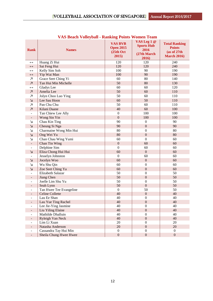| <b>Rank</b>                   | <b>Names</b>                          | <b>VAS BVB</b><br><b>Open 2015</b><br>(25th Oct<br>2015) | VAS Leg 1 @<br><b>Sports Hub</b><br>2016<br>(27th March<br>2016) | <b>Total Ranking</b><br><b>Points</b><br>(as of 27th<br><b>March 2016)</b> |
|-------------------------------|---------------------------------------|----------------------------------------------------------|------------------------------------------------------------------|----------------------------------------------------------------------------|
| $\leftrightarrow$             | Huang Zi Hui                          | 120                                                      | 120                                                              | 240                                                                        |
| $\leftrightarrow$             | Sai Feng Hui                          | 120                                                      | 120                                                              | 240                                                                        |
| $\leftrightarrow$             | Kelly Sim Soh                         | 100                                                      | 90                                                               | 190                                                                        |
| $\leftrightarrow$             | Yip Wai Man                           | 100                                                      | 90                                                               | 190                                                                        |
| $\overline{\mathcal{A}}$      | Grace Seet Ching Yi                   | 60                                                       | 80                                                               | 140                                                                        |
| $\overline{\mathcal{A}}$      | Tan Hui Min Michelle                  | 50                                                       | 80                                                               | 130                                                                        |
| $\leftrightarrow$             | Gladys Lee                            | 60                                                       | 60                                                               | 120                                                                        |
| $\overline{\mathcal{A}}$      | Amelia Lee                            | 50                                                       | 60                                                               | 110                                                                        |
| $\overline{\phantom{a}}$      | Jolyn Choo Luo Ying                   | 50                                                       | 60                                                               | 110                                                                        |
| $\Delta$                      | Lee Sau Hoon                          | 60                                                       | 50                                                               | 110                                                                        |
| $\overline{\phantom{a}}$      | Pan Chu Chu                           | 50                                                       | 60                                                               | 110                                                                        |
| $\overline{\mathcal{A}}$      | Kilani Daane                          | 40                                                       | 60                                                               | 100                                                                        |
|                               | Tan Chiew Lee Ally                    | $\boldsymbol{0}$                                         | 100                                                              | 100                                                                        |
| $\overline{\phantom{0}}$      | Wong Sin Yin                          | $\boldsymbol{0}$                                         | 100                                                              | 100                                                                        |
| צ                             | Chau Kin Ting                         | 90                                                       | $\boldsymbol{0}$                                                 | 90                                                                         |
| Ν                             | Cheung Si Nga                         | 90                                                       | $\boldsymbol{0}$                                                 | 90                                                                         |
| N                             | Charmaine Wong Min Hui                | 80                                                       | $\boldsymbol{0}$                                                 | 80                                                                         |
| $\Delta$                      | Ong Wei Yu                            | 80                                                       | $\mathbf{0}$                                                     | 80                                                                         |
| N                             | Chan Chau Wing Yumi                   | 60                                                       | $\boldsymbol{0}$                                                 | 60                                                                         |
| $\overline{\phantom{a}}$      | Chan Tin Wing                         | $\boldsymbol{0}$                                         | 60                                                               | 60                                                                         |
|                               | Delphine Sim                          | $\boldsymbol{0}$                                         | 60                                                               | 60                                                                         |
| Δ                             | Eliza Chong Hui Hui                   | 60                                                       | $\boldsymbol{0}$                                                 | 60                                                                         |
| ٠                             | Jesselyn Johnston                     | $\mathbf{0}$                                             | 60                                                               | 60                                                                         |
| צ                             | Jocelyn Woo                           | 60                                                       | $\boldsymbol{0}$                                                 | 60                                                                         |
| N                             | Wu Shu Qin                            | 60                                                       | $\boldsymbol{0}$                                                 | 60                                                                         |
| Δ                             | Zoe Seet Ching Ya                     | 60                                                       | $\boldsymbol{0}$                                                 | 60                                                                         |
|                               | Elizabeth Salazar                     | 50                                                       | $\boldsymbol{0}$                                                 | 50                                                                         |
| $\overline{\phantom{a}}$      | Jiang Chen                            | 50                                                       | $\boldsymbol{0}$                                                 | 50                                                                         |
|                               | Joelle Lim Shu Yu                     | 50                                                       | $\boldsymbol{0}$                                                 | 50                                                                         |
| $\overline{\phantom{0}}$      | Seah Lynn                             | 50                                                       | $\overline{0}$                                                   | 50                                                                         |
|                               | Tan Hwee Tee Evangeline               | $\boldsymbol{0}$                                         | 50                                                               | 50                                                                         |
| $\overline{\phantom{a}}$      | <b>Celine Collette</b>                | 40                                                       | $\boldsymbol{0}$                                                 | 40                                                                         |
| ٠                             | Lau Ee Shan                           | 40                                                       | $\boldsymbol{0}$                                                 | 40                                                                         |
| $\overline{\phantom{a}}$      | Lau Yue Ting Rachel                   | 40                                                       | $\boldsymbol{0}$                                                 | 40                                                                         |
|                               | Lee Jie-Ying Jasmine                  | 40                                                       | $\boldsymbol{0}$                                                 | 40                                                                         |
| $\overline{\phantom{a}}$      | Liu Yiling Elaine                     | 40<br>40                                                 | $\mathbf{0}$<br>$\overline{0}$                                   | 40<br>40                                                                   |
|                               | Mathilde Dhalluin<br>Ryleigh Van Neck | 40                                                       | $\boldsymbol{0}$                                                 | 40                                                                         |
|                               | Lim Li Xuan                           | 20                                                       | $\boldsymbol{0}$                                                 | 20                                                                         |
| ٠<br>$\overline{\phantom{0}}$ | Natasha Anderson                      | $20\,$                                                   | $\boldsymbol{0}$                                                 | 20                                                                         |
|                               | Cassandra Tay Hui Min                 | $\boldsymbol{0}$                                         | $\overline{0}$                                                   | $\overline{0}$                                                             |
|                               | Sheila Chung Hwee Hwee                | $\boldsymbol{0}$                                         | $\boldsymbol{0}$                                                 | $\boldsymbol{0}$                                                           |

## **VAS Beach Volleyball - Ranking Points Women Team**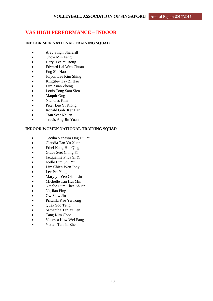# **VAS HIGH PERFORMANCE – INDOOR**

## **INDOOR MEN NATIONAL TRAINING SQUAD**

- Ajay Singh Shararill
- Chow Min Feng
- Daryl Lee Yi Rong
- Edward Lai Wen Chuan
- Eng Sin Hao
- Jolyon Lee Kim Shing
- Kingsley Tay Zi Hao
- Lim Xuan Zheng
- Louis Tong Sam Sien
- Maquir Ong
- Nicholas Kim
- Peter Lee Yi Kiong
- Ronald Goh Ker Han
- Tian Seet Khuen
- Travis Ang Jin Yuan

## **INDOOR WOMEN NATIONAL TRAINING SQUAD**

- Cecilia Vanessa Ong Hui Yi
- Claudia Tan Yu Xuan
- Ethel Kang Hui Qing
- Grace Seet Ching Yi
- Jacqueline Phua Si Yi
- Joelle Lim Shu Yu
- Lim Chien Wen Jody
- Lee Pei Ying
- Marylyn Yeo Qian Lin
- Michelle Tan Hui Min
- Natalie Lum Chee Shuan
- Ng Jian Ping
- Ow Siew Jin
- Priscilla Kee Yu Tong
- Quek Soo Teng
- Samantha Tan Yi Fen
- Tang Kim Choo
- Vanessa Kow Wei Fang
- Vivien Tan Yi Zhen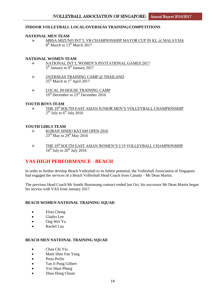### **INDOOR VOLLEYBALL LOCAL/OVERSEAS TRAINING/COMPETITIONS**

#### **NATIONAL MEN TEAM**

> MBSA MIZUNO INT'L VB CHAMPIONSHIP MAYOR CUP IN KL @ MALAYSIA 8<sup>th</sup> March to 13<sup>th</sup> March 2017

#### **NATIONAL WOMEN TEAM**

- NATIONAL INT'L WOMEN'S INVITATIONAL GAMES 2017 5<sup>th</sup> January to 9<sup>th</sup> January 2017
- OVERSEAS TRAINING CAMP @ THAILAND  $25<sup>th</sup>$  March to  $1<sup>st</sup>$  April 2017
- $\triangleright$  LOCAL IN-HOUSE TRAINING CAMP 19<sup>th</sup> December to 23<sup>rd</sup> December 2016

#### **YOUTH BOYS TEAM**

 $\triangleright$  THE 19<sup>th</sup> SOUTH EAST ASIAN JUNIOR MEN'S VOLLEYBALL CHAMPIONSHIP  $2<sup>nd</sup>$  July to  $6<sup>th</sup>$  July 2016

#### **YOUTH GIRLS TEAM**

- $\triangleright$  KORAN SINDO BATAM OPEN 2016  $23<sup>rd</sup>$  May to  $29<sup>th</sup>$  May 2016
- $\triangleright$  THE 19<sup>th</sup> SOUTH EAST ASIAN WOMEN'S U19 VOLLEYBALL CHAMPIONSHIP  $16^{th}$  July to  $20^{th}$  July 2016

## **VAS HIGH PERFORMANCE - BEACH**

In order to further develop Beach Volleyball to its fullest potential, the Volleyball Association of Singapore had engaged the services of a Beach Volleyball Head Coach from Canada – Mr Dean Martin.

The previous Head Coach Mr Sonthi Bunrueang contract ended last Oct, his successor Mr Dean Martin began his service with VAS from January 2017.

#### **BEACH WOMEN NATIONAL TRAINING SOUAD**

- Eliza Chong
- Gladys Lee
- Ong Wei Yu
- Rachel Lau

#### **BEACH MEN NATIONAL TRAINING SQUAD**

- Chan Chi Yiu
- Mark Shen Fan Yang
- Poon PeiJie
- Tan Ji Pung Gilbert
- Yeo Shun Pheng
- Zhuo Hong Chuan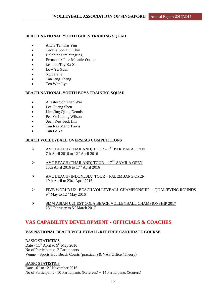## **BEACH NATIONAL YOUTH GIRLS TRAINING SQUAD**

- Alicia Tan Kai Yun
- Cecelia Soh Hui Chin
- Delphine Sim Yingting
- Fernandez Jane Melanie Ouano
- Jasmine Tay Ka Sin
- Low Yu Xuan
- Ng Serene
- Tan Jeng Theng
- Teo Wan Lyn

## **BEACH NATIONAL YOUTH BOYS TRAINING SQUAD**

- Allaster Soh Zhan Wai
- Lee Guang Shen
- Lim Jing Qiang Dennis
- Peh Wei Liang Wilson
- Sean Yeo Teck Hin
- Tan Ray Meng Trevis
- Tan Le Ye

## **BEACH VOLLEYBALL OVERSEAS COMPETITIONS**

- $\triangleright$  AVC BEACH (THAILAND) TOUR  $1^{ST}$  PAK BARA OPEN 7th April 2016 to  $12^{th}$  April 2016
- $\triangleright$  AVC BEACH (THAILAND) TOUR 17<sup>TH</sup> SAMILA OPEN 13th April 2016 to  $17<sup>th</sup>$  April 2016
- AVC BEACH (INDONESIA) TOUR PALEMBANG OPEN 19th April to 23rd April 2016
- FIVB WORLD U21 BEACH VOLLEYBALL CHAMPIONSHIP QUALIFYING ROUNDS  $9<sup>th</sup>$  May to  $12<sup>th</sup>$  May 2016
- SMM ASIAN U21 EST COLA BEACH VOLLEYBALL CHAMPIONSHIP 2017 28<sup>th</sup> February to 5<sup>th</sup> March 2017

## **VAS CAPABILITY DEVELOPMENT - OFFICIALS & COACHES**

## **VAS NATIONAL BEACH VOLLEYBALL REFEREE CANDIDATE COURSE**

BASIC STATISTICS Date -  $11^{th}$  April to 9<sup>th</sup> May 2016 No of Participants - 2 Participants Venue – Sports Hub Beach Courts (practical)  $\&$  VAS Office (Theory)

BASIC STATISTICS Date -  $6^{\text{th}}$  to  $12^{\text{th}}$  November 2016 No of Participants - 10 Participants (Referees) + 14 Participants (Scorers)